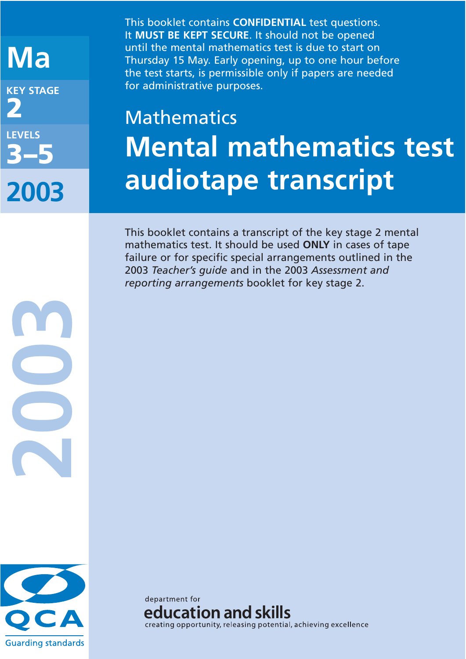## **Ma KEY STAGE 2 LEVELS 3–5 2003**

This booklet contains **CONFIDENTIAL** test questions. It **MUST BE KEPT SECURE**. It should not be opened until the mental mathematics test is due to start on Thursday 15 May. Early opening, up to one hour before the test starts, is permissible only if papers are needed for administrative purposes.

# Mathematics **Mental mathematics test audiotape transcript**

This booklet contains a transcript of the key stage 2 mental mathematics test. It should be used **ONLY** in cases of tape failure or for specific special arrangements outlined in the 2003 *Teacher's guide* and in the 2003 *Assessment and reporting arrangements* booklet for key stage 2.



**2003**

department for education and skills creating opportunity, releasing potential, achieving excellence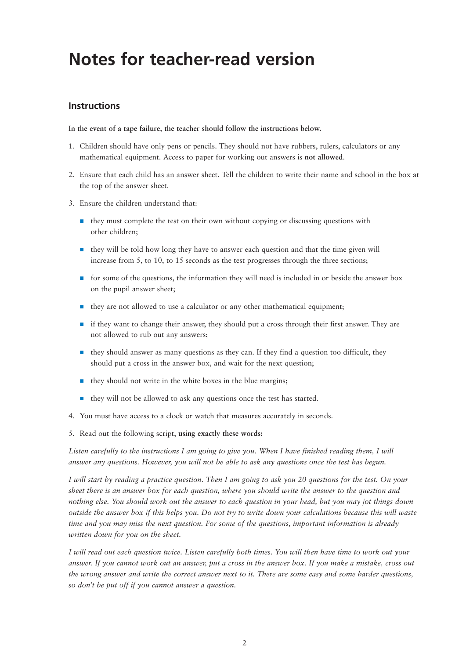## **Notes for teacher-read version**

#### **Instructions**

**In the event of a tape failure, the teacher should follow the instructions below.**

- 1. Children should have only pens or pencils. They should not have rubbers, rulers, calculators or any mathematical equipment. Access to paper for working out answers is **not allowed**.
- 2. Ensure that each child has an answer sheet. Tell the children to write their name and school in the box at the top of the answer sheet.
- 3. Ensure the children understand that:
	- **they must complete the test on their own without copying or discussing questions with** other children;
	- they will be told how long they have to answer each question and that the time given will increase from 5, to 10, to 15 seconds as the test progresses through the three sections;
	- **n** for some of the questions, the information they will need is included in or beside the answer box on the pupil answer sheet;
	- they are not allowed to use a calculator or any other mathematical equipment;
	- if they want to change their answer, they should put a cross through their first answer. They are not allowed to rub out any answers;
	- they should answer as many questions as they can. If they find a question too difficult, they should put a cross in the answer box, and wait for the next question;
	- **n** they should not write in the white boxes in the blue margins;
	- they will not be allowed to ask any questions once the test has started.
- 4. You must have access to a clock or watch that measures accurately in seconds.
- 5. Read out the following script, **using exactly these words:**

*Listen carefully to the instructions I am going to give you. When I have finished reading them, I will answer any questions. However, you will not be able to ask any questions once the test has begun.*

*I will start by reading a practice question. Then I am going to ask you 20 questions for the test. On your sheet there is an answer box for each question, where you should write the answer to the question and nothing else. You should work out the answer to each question in your head, but you may jot things down outside the answer box if this helps you. Do not try to write down your calculations because this will waste time and you may miss the next question. For some of the questions, important information is already written down for you on the sheet.*

*I will read out each question twice. Listen carefully both times. You will then have time to work out your answer. If you cannot work out an answer, put a cross in the answer box. If you make a mistake, cross out the wrong answer and write the correct answer next to it. There are some easy and some harder questions, so don't be put off if you cannot answer a question.*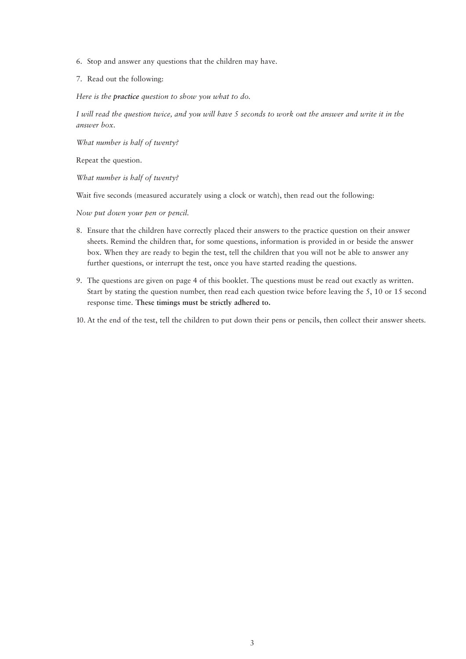- 6. Stop and answer any questions that the children may have.
- 7. Read out the following:

*Here is the practice question to show you what to do.*

*I will read the question twice, and you will have 5 seconds to work out the answer and write it in the answer box.*

*What number is half of twenty?*

Repeat the question.

*What number is half of twenty?*

Wait five seconds (measured accurately using a clock or watch), then read out the following:

*Now put down your pen or pencil.*

- 8. Ensure that the children have correctly placed their answers to the practice question on their answer sheets. Remind the children that, for some questions, information is provided in or beside the answer box. When they are ready to begin the test, tell the children that you will not be able to answer any further questions, or interrupt the test, once you have started reading the questions.
- 9. The questions are given on page 4 of this booklet. The questions must be read out exactly as written. Start by stating the question number, then read each question twice before leaving the 5, 10 or 15 second response time. **These timings must be strictly adhered to.**

10. At the end of the test, tell the children to put down their pens or pencils, then collect their answer sheets.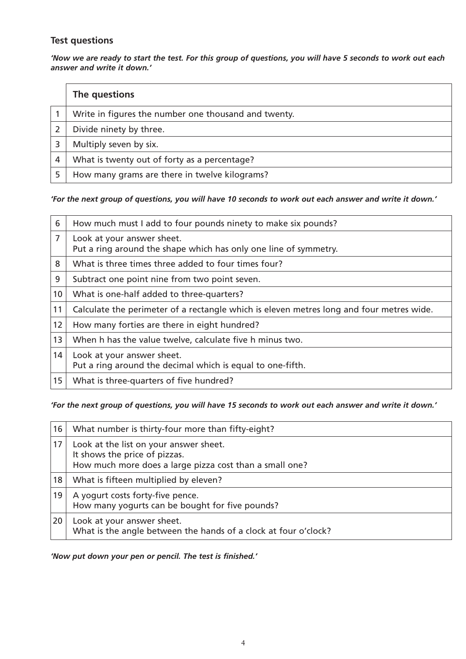#### **Test questions**

*'Now we are ready to start the test. For this group of questions, you will have 5 seconds to work out each answer and write it down.'*

|   | The questions                                        |
|---|------------------------------------------------------|
|   | Write in figures the number one thousand and twenty. |
|   | Divide ninety by three.                              |
|   | Multiply seven by six.                               |
| 4 | What is twenty out of forty as a percentage?         |
|   | How many grams are there in twelve kilograms?        |

#### *'For the next group of questions, you will have 10 seconds to work out each answer and write it down.'*

| 6               | How much must I add to four pounds ninety to make six pounds?                                  |
|-----------------|------------------------------------------------------------------------------------------------|
| 7               | Look at your answer sheet.<br>Put a ring around the shape which has only one line of symmetry. |
| 8               | What is three times three added to four times four?                                            |
| 9               | Subtract one point nine from two point seven.                                                  |
| 10 <sup>°</sup> | What is one-half added to three-quarters?                                                      |
| 11              | Calculate the perimeter of a rectangle which is eleven metres long and four metres wide.       |
| 12 <sup>2</sup> | How many forties are there in eight hundred?                                                   |
| 13              | When h has the value twelve, calculate five h minus two.                                       |
| 14              | Look at your answer sheet.<br>Put a ring around the decimal which is equal to one-fifth.       |
| 15 <sub>1</sub> | What is three-quarters of five hundred?                                                        |

#### *'For the next group of questions, you will have 15 seconds to work out each answer and write it down.'*

| 16 | What number is thirty-four more than fifty-eight?                                                                                  |
|----|------------------------------------------------------------------------------------------------------------------------------------|
| 17 | Look at the list on your answer sheet.<br>It shows the price of pizzas.<br>How much more does a large pizza cost than a small one? |
| 18 | What is fifteen multiplied by eleven?                                                                                              |
| 19 | A yogurt costs forty-five pence.<br>How many yogurts can be bought for five pounds?                                                |
| 20 | Look at your answer sheet.<br>What is the angle between the hands of a clock at four o'clock?                                      |

#### *'Now put down your pen or pencil. The test is finished.'*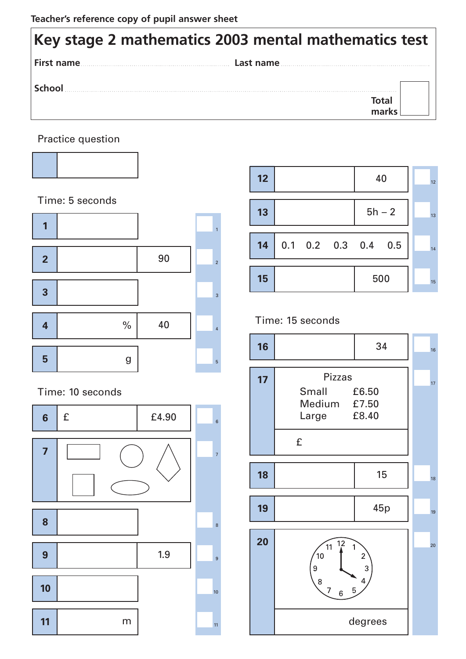### **Key stage 2 mathematics 2003 mental mathematics test First name Last name School Total marks**

Practice question



Time: 5 seconds



Time: 10 seconds





### Time: 15 seconds